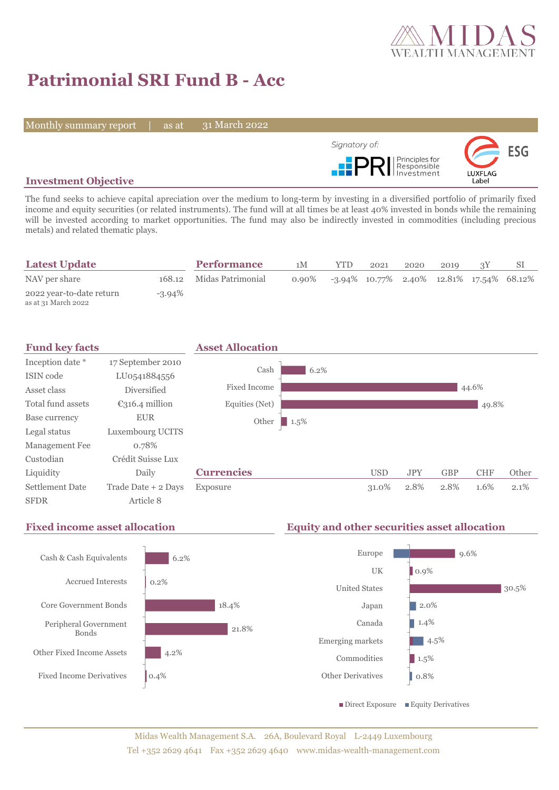

# **Patrimonial SRI Fund B - Acc**

Monthly summary report | as at

31 March 2022



## **Investment Objective**

The fund seeks to achieve capital apreciation over the medium to long-term by investing in a diversified portfolio of primarily fixed income and equity securities (or related instruments). The fund will at all times be at least 40% invested in bonds while the remaining will be invested according to market opportunities. The fund may also be indirectly invested in commodities (including precious metals) and related thematic plays.

| <b>Latest Update</b>                            |           | <b>Performance</b>       | 1М       | <b>YTD</b> | 2021 | 2020 | 2010 |                                             |  |
|-------------------------------------------------|-----------|--------------------------|----------|------------|------|------|------|---------------------------------------------|--|
| NAV per share                                   |           | 168.12 Midas Patrimonial | $0.90\%$ |            |      |      |      | $-3.94\%$ 10.77% 2.40% 12.81% 17.54% 68.12% |  |
| 2022 year-to-date return<br>as at 31 March 2022 | $-3.94\%$ |                          |          |            |      |      |      |                                             |  |





# **Fixed income asset allocation Equity and other securities asset allocation**

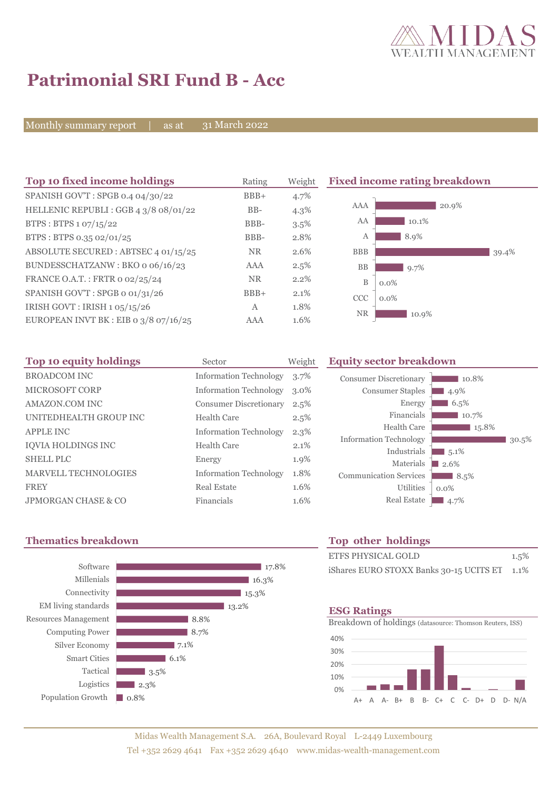

# **Patrimonial SRI Fund B - Acc**

Monthly summary report | as at

31 March 2022

| Top 10 fixed income holdings            | Rating     | Weight  | <b>Fixed income rating breakdown</b> |
|-----------------------------------------|------------|---------|--------------------------------------|
| SPANISH GOV'T: SPGB 0.4 04/30/22        | $BBB+$     | 4.7%    |                                      |
| HELLENIC REPUBLI: GGB 4 3/8 08/01/22    | $BB-$      | $4.3\%$ | AAA<br>20.9%                         |
| BTPS: BTPS 1 07/15/22                   | BBB-       | 3.5%    | AA<br>10.1%                          |
| BTPS: BTPS 0.35 02/01/25                | BBB-       | 2.8%    | 8.9%<br>А                            |
| ABSOLUTE SECURED : ABTSEC 4 01/15/25    | <b>NR</b>  | 2.6%    | <b>BBB</b><br>39.4%                  |
| BUNDESSCHATZANW: BKO o 06/16/23         | <b>AAA</b> | 2.5%    | <b>BB</b><br>9.7%                    |
| FRANCE O.A.T.: FRTR 0 02/25/24          | NR.        | $2.2\%$ | $\mathbf B$<br>$0.0\%$               |
| SPANISH GOV'T: SPGB o 01/31/26          | $BBB+$     | 2.1%    | CCC<br>$0.0\%$                       |
| IRISH GOVT : IRISH 1 05/15/26           | A          | 1.8%    |                                      |
| EUROPEAN INVT BK : EIB o $3/8$ o7/16/25 | AAA        | 1.6%    | <b>NR</b><br>10.9%                   |

| Top 10 equity holdings         | Sector                        | Weight  |
|--------------------------------|-------------------------------|---------|
| <b>BROADCOM INC</b>            | <b>Information Technology</b> | $3.7\%$ |
| <b>MICROSOFT CORP</b>          | <b>Information Technology</b> | $3.0\%$ |
| AMAZON.COM INC                 | <b>Consumer Discretionary</b> | 2.5%    |
| UNITEDHEALTH GROUP INC         | Health Care                   | 2.5%    |
| <b>APPLE INC</b>               | <b>Information Technology</b> | $2.3\%$ |
| <b>IOVIA HOLDINGS INC</b>      | <b>Health Care</b>            | 2.1%    |
| <b>SHELL PLC</b>               | Energy                        | 1.9%    |
| <b>MARVELL TECHNOLOGIES</b>    | <b>Information Technology</b> | 1.8%    |
| <b>FREY</b>                    | Real Estate                   | 1.6%    |
| <b>JPMORGAN CHASE &amp; CO</b> | Financials                    | 1.6%    |

## **Equity sector breakdown**

| <b>Consumer Discretionary</b> | 10.8%   |
|-------------------------------|---------|
| <b>Consumer Staples</b>       | 4.9%    |
| Energy                        | 6.5%    |
| Financials                    | 10.7%   |
| Health Care                   | 15.8%   |
| <b>Information Technology</b> | 30.5%   |
| Industrials                   | 5.1%    |
| Materials                     | 2.6%    |
| <b>Communication Services</b> | 8.5%    |
| <b>Utilities</b>              | $0.0\%$ |
| <b>Real Estate</b>            | 4.7%    |

# **Thematics breakdown Top other holdings**



| <b>ETFS PHYSICAL GOLD</b>                    | 1.5% |
|----------------------------------------------|------|
| iShares EURO STOXX Banks 30-15 UCITS ET 1.1% |      |

### **ESG Ratings**

Breakdown of holdings (datasource: Thomson Reuters, ISS)